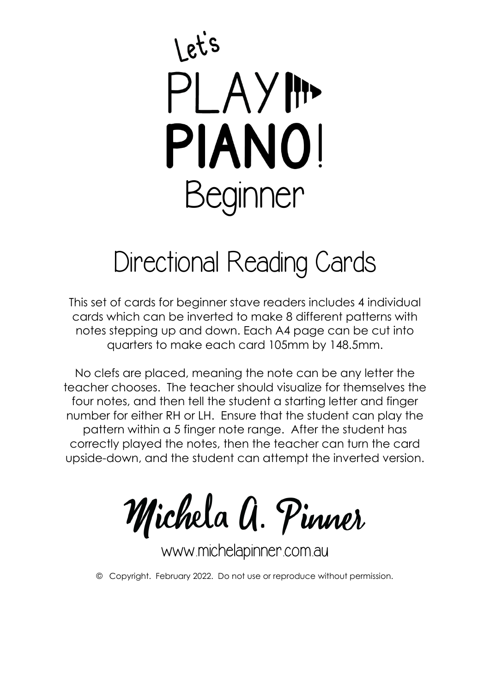## ets PLAYIN **PIANO!** Beginner

## Directional Reading Cards

This set of cards for beginner stave readers includes 4 individual cards which can be inverted to make 8 different patterns with notes stepping up and down. Each A4 page can be cut into quarters to make each card 105mm by 148.5mm.

No clefs are placed, meaning the note can be any letter the teacher chooses. The teacher should visualize for themselves the four notes, and then tell the student a starting letter and finger number for either RH or LH. Ensure that the student can play the pattern within a 5 finger note range. After the student has correctly played the notes, then the teacher can turn the card upside-down, and the student can attempt the inverted version.

Michela A. Pinner

www.michelapinner.com.au

© Copyright. February 2022. Do not use or reproduce without permission.